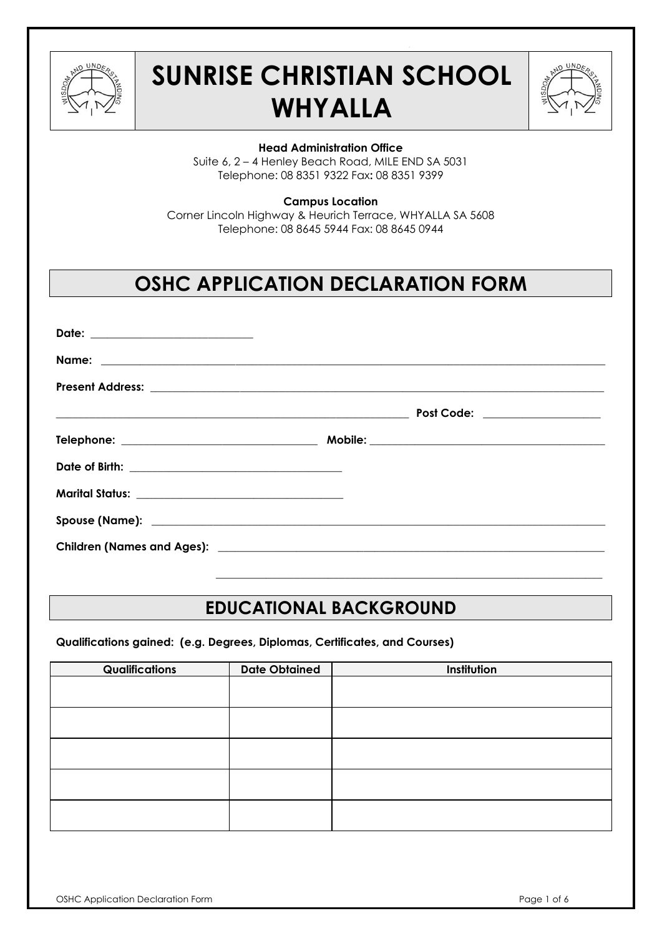

# **SUNRISE CHRISTIAN SCHOOL WHYALLA**



#### **Head Administration Office**

Suite 6, 2 – 4 Henley Beach Road, MILE END SA 5031 Telephone: 08 8351 9322 Fax**:** 08 8351 9399

#### **Campus Location**

Corner Lincoln Highway & Heurich Terrace, WHYALLA SA 5608 Telephone: 08 8645 5944 Fax: 08 8645 0944

# **OSHC APPLICATION DECLARATION FORM**

| Date: ___________________________ |                               |
|-----------------------------------|-------------------------------|
|                                   |                               |
|                                   |                               |
|                                   | Post Code: __________________ |
|                                   |                               |
|                                   |                               |
|                                   |                               |
|                                   |                               |
|                                   |                               |

# **EDUCATIONAL BACKGROUND**

 $\mathcal{L}_\text{max} = \frac{1}{2} \sum_{i=1}^{n} \frac{1}{2} \sum_{j=1}^{n} \frac{1}{2} \sum_{j=1}^{n} \frac{1}{2} \sum_{j=1}^{n} \frac{1}{2} \sum_{j=1}^{n} \frac{1}{2} \sum_{j=1}^{n} \frac{1}{2} \sum_{j=1}^{n} \frac{1}{2} \sum_{j=1}^{n} \frac{1}{2} \sum_{j=1}^{n} \frac{1}{2} \sum_{j=1}^{n} \frac{1}{2} \sum_{j=1}^{n} \frac{1}{2} \sum_{j=1}^{n} \frac{1$ 

**Qualifications gained: (e.g. Degrees, Diplomas, Certificates, and Courses)**

| Qualifications | <b>Date Obtained</b> | Institution |
|----------------|----------------------|-------------|
|                |                      |             |
|                |                      |             |
|                |                      |             |
|                |                      |             |
|                |                      |             |
|                |                      |             |
|                |                      |             |
|                |                      |             |
|                |                      |             |
|                |                      |             |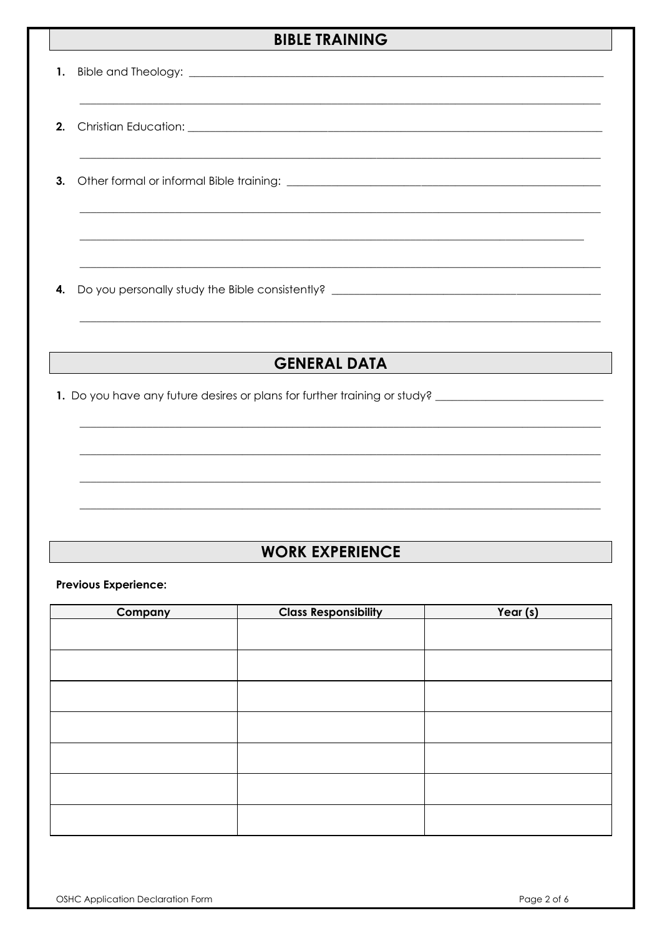### **BIBLE TRAINING**

## **GENERAL DATA**

1. Do you have any future desires or plans for further training or study? \_\_\_\_\_\_\_\_\_\_\_\_\_\_\_\_\_\_\_\_\_\_\_\_\_

### **WORK EXPERIENCE**

**Previous Experience:** 

| <b>Company</b> | <b>Class Responsibility</b> | Year (s) |
|----------------|-----------------------------|----------|
|                |                             |          |
|                |                             |          |
|                |                             |          |
|                |                             |          |
|                |                             |          |
|                |                             |          |
|                |                             |          |
|                |                             |          |
|                |                             |          |
|                |                             |          |
|                |                             |          |
|                |                             |          |
|                |                             |          |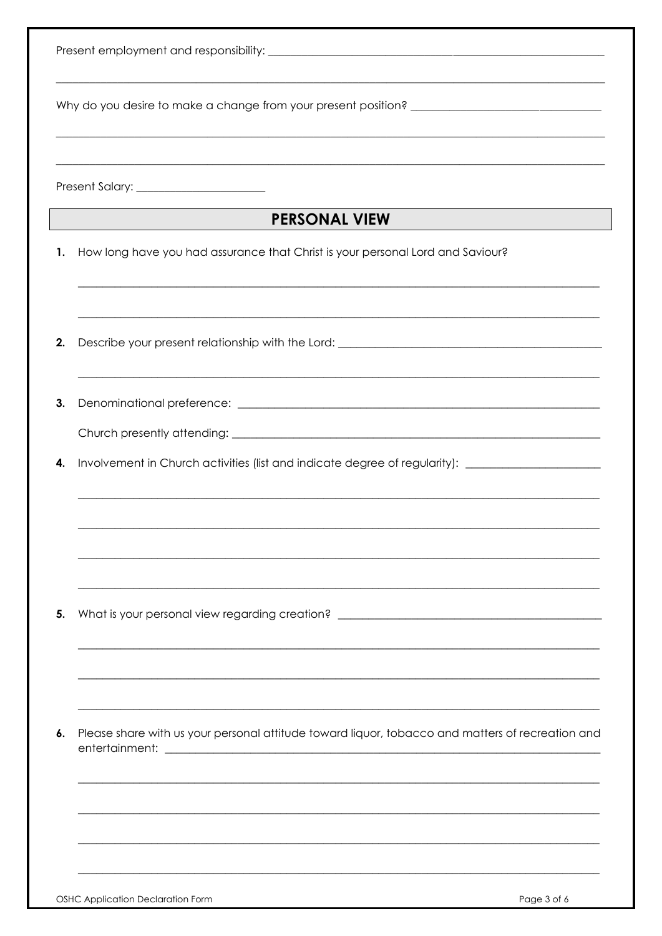|    | Present Salary: _________________________                                                                                                                             |
|----|-----------------------------------------------------------------------------------------------------------------------------------------------------------------------|
|    | <b>PERSONAL VIEW</b><br><u> 1980 - Johann Barbara, martxa a</u>                                                                                                       |
| 1. | How long have you had assurance that Christ is your personal Lord and Saviour?<br>,我们也不能在这里的时候,我们也不能在这里的时候,我们也不能在这里的时候,我们也不能会在这里的时候,我们也不能会在这里的时候,我们也不能会在这里的时候,我们也不    |
| 2. | ,我们也不会有什么。""我们的人,我们也不会有什么?""我们的人,我们也不会有什么?""我们的人,我们也不会有什么?""我们的人,我们也不会有什么?""我们的人<br>Describe your present relationship with the Lord: _______________________________ |
| 3. |                                                                                                                                                                       |
|    |                                                                                                                                                                       |
| 4. | Involvement in Church activities (list and indicate degree of regularity): ________________________                                                                   |
|    |                                                                                                                                                                       |
| 5. | What is your personal view regarding creation? _________________________________                                                                                      |
|    |                                                                                                                                                                       |
|    |                                                                                                                                                                       |
| 6. | Please share with us your personal attitude toward liquor, tobacco and matters of recreation and                                                                      |
|    |                                                                                                                                                                       |
|    |                                                                                                                                                                       |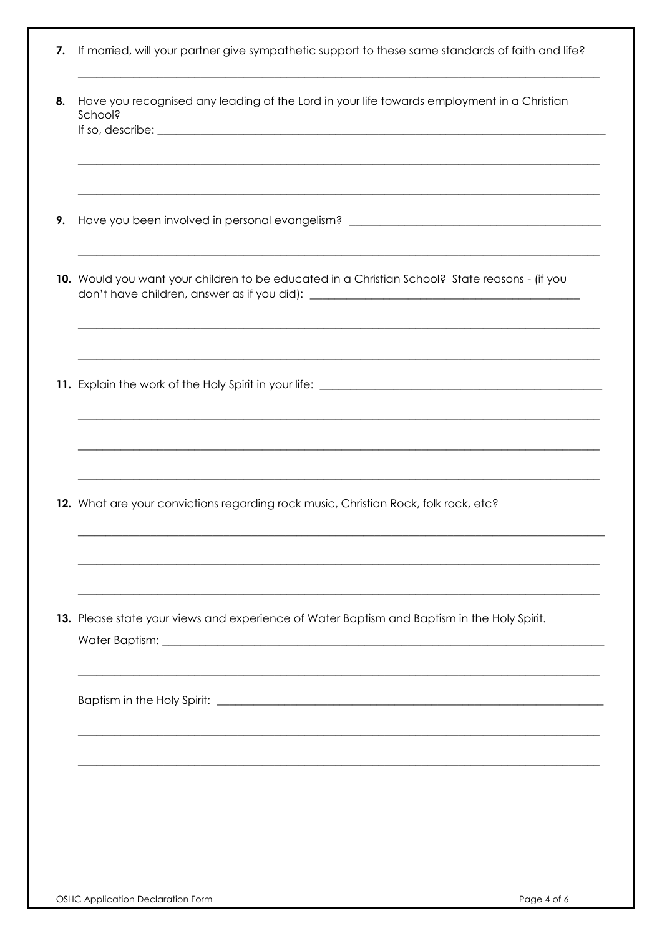| 7. If married, will your partner give sympathetic support to these same standards of faith and life? |  |  |  |  |  |  |  |  |  |  |  |  |  |
|------------------------------------------------------------------------------------------------------|--|--|--|--|--|--|--|--|--|--|--|--|--|
|------------------------------------------------------------------------------------------------------|--|--|--|--|--|--|--|--|--|--|--|--|--|

| 8. | Have you recognised any leading of the Lord in your life towards employment in a Christian<br>School?<br>If so, describe: $\sqrt{\frac{2}{\pi}}$                                                             |
|----|--------------------------------------------------------------------------------------------------------------------------------------------------------------------------------------------------------------|
| 9. | Have you been involved in personal evangelism? _________________________________                                                                                                                             |
|    | ,我们也不能在这里的时候,我们也不能在这里的时候,我们也不能在这里的时候,我们也不能会在这里的时候,我们也不能会在这里的时候,我们也不能会在这里的时候,我们也不能<br>10. Would you want your children to be educated in a Christian School? State reasons - (if you                          |
|    | <u> 1989 - Johann John Harry Harry Harry Harry Harry Harry Harry Harry Harry Harry Harry Harry Harry Harry Harry</u>                                                                                         |
|    | <u> 1980 - Johann Barn, amerikan bernama di sebagai bernama di sebagai bernama di sebagai bernama di sebagai bern</u><br>12. What are your convictions regarding rock music, Christian Rock, folk rock, etc? |
|    | 13. Please state your views and experience of Water Baptism and Baptism in the Holy Spirit.                                                                                                                  |
|    |                                                                                                                                                                                                              |
|    |                                                                                                                                                                                                              |
|    |                                                                                                                                                                                                              |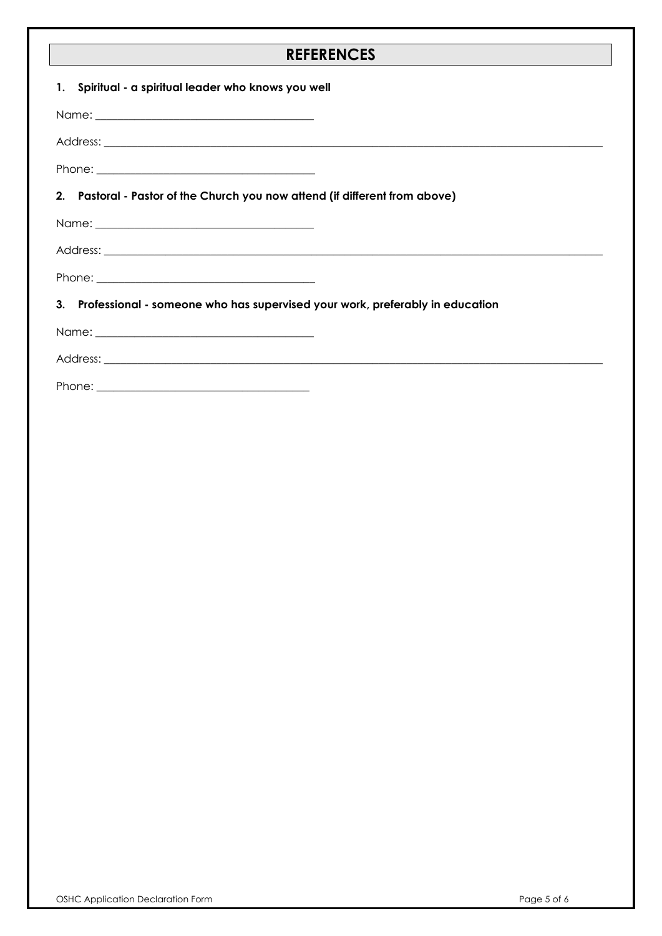#### **REFERENCES**

| 1. Spiritual - a spiritual leader who knows you well                            |  |
|---------------------------------------------------------------------------------|--|
|                                                                                 |  |
|                                                                                 |  |
|                                                                                 |  |
| 2. Pastoral - Pastor of the Church you now attend (if different from above)     |  |
|                                                                                 |  |
|                                                                                 |  |
|                                                                                 |  |
| 3. Professional - someone who has supervised your work, preferably in education |  |
|                                                                                 |  |
|                                                                                 |  |
|                                                                                 |  |